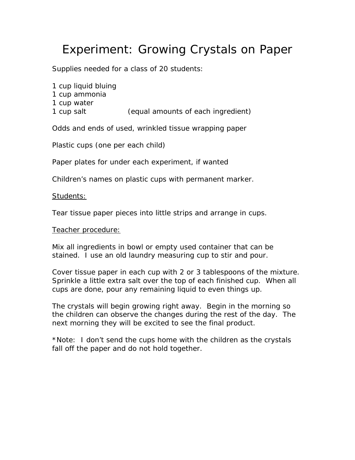# Experiment: Growing Crystals on Paper

Supplies needed for a class of 20 students:

1 cup liquid bluing 1 cup ammonia 1 cup water 1 cup salt (equal amounts of each ingredient)

Odds and ends of used, wrinkled tissue wrapping paper

Plastic cups (one per each child)

Paper plates for under each experiment, if wanted

Children's names on plastic cups with permanent marker.

#### Students:

Tear tissue paper pieces into little strips and arrange in cups.

#### Teacher procedure:

Mix all ingredients in bowl or empty used container that can be stained. I use an old laundry measuring cup to stir and pour.

Cover tissue paper in each cup with 2 or 3 tablespoons of the mixture. Sprinkle a little extra salt over the top of each finished cup. When all cups are done, pour any remaining liquid to even things up.

The crystals will begin growing right away. Begin in the morning so the children can observe the changes during the rest of the day. The next morning they will be excited to see the final product.

\*Note: I don't send the cups home with the children as the crystals fall off the paper and do not hold together.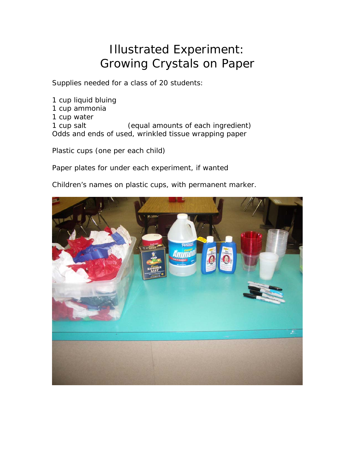## Illustrated Experiment: Growing Crystals on Paper

Supplies needed for a class of 20 students:

1 cup liquid bluing 1 cup ammonia 1 cup water 1 cup salt (equal amounts of each ingredient) Odds and ends of used, wrinkled tissue wrapping paper

Plastic cups (one per each child)

Paper plates for under each experiment, if wanted

Children's names on plastic cups, with permanent marker.

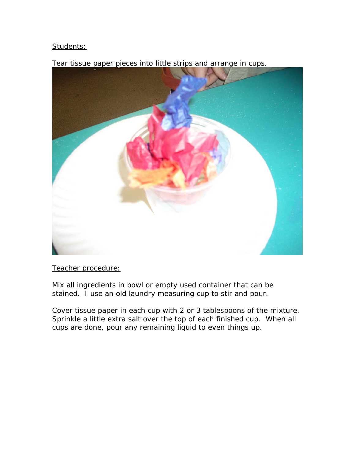### Students:



Tear tissue paper pieces into little strips and arrange in cups.

Teacher procedure:

Mix all ingredients in bowl or empty used container that can be stained. I use an old laundry measuring cup to stir and pour.

Cover tissue paper in each cup with 2 or 3 tablespoons of the mixture. Sprinkle a little extra salt over the top of each finished cup. When all cups are done, pour any remaining liquid to even things up.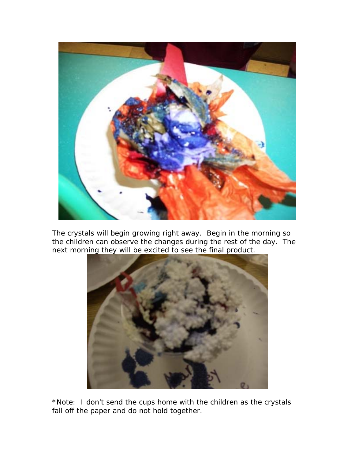

The crystals will begin growing right away. Begin in the morning so the children can observe the changes during the rest of the day. The next morning they will be excited to see the final product.



\*Note: I don't send the cups home with the children as the crystals fall off the paper and do not hold together.